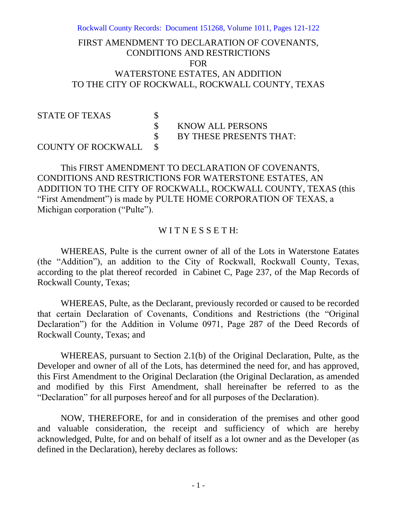Rockwall County Records: Document 151268, Volume 1011, Pages 121-122

## FIRST AMENDMENT TO DECLARATION OF COVENANTS, CONDITIONS AND RESTRICTIONS FOR WATERSTONE ESTATES, AN ADDITION TO THE CITY OF ROCKWALL, ROCKWALL COUNTY, TEXAS

# STATE OF TEXAS \$<br>\$

KNOW ALL PERSONS

BY THESE PRESENTS THAT:

### COUNTY OF ROCKWALL \$

This FIRST AMENDMENT TO DECLARATION OF COVENANTS, CONDITIONS AND RESTRICTIONS FOR WATERSTONE ESTATES, AN ADDITION TO THE CITY OF ROCKWALL, ROCKWALL COUNTY, TEXAS (this "First Amendment") is made by PULTE HOME CORPORATION OF TEXAS, a Michigan corporation ("Pulte").

#### WITNESSETH:

WHEREAS, Pulte is the current owner of all of the Lots in Waterstone Eatates (the "Addition"), an addition to the City of Rockwall, Rockwall County, Texas, according to the plat thereof recorded in Cabinet C, Page 237, of the Map Records of Rockwall County, Texas;

WHEREAS, Pulte, as the Declarant, previously recorded or caused to be recorded that certain Declaration of Covenants, Conditions and Restrictions (the "Original Declaration") for the Addition in Volume 0971, Page 287 of the Deed Records of Rockwall County, Texas; and

WHEREAS, pursuant to Section 2.1(b) of the Original Declaration, Pulte, as the Developer and owner of all of the Lots, has determined the need for, and has approved, this First Amendment to the Original Declaration (the Original Declaration, as amended and modified by this First Amendment, shall hereinafter be referred to as the "Declaration" for all purposes hereof and for all purposes of the Declaration).

NOW, THEREFORE, for and in consideration of the premises and other good and valuable consideration, the receipt and sufficiency of which are hereby acknowledged, Pulte, for and on behalf of itself as a lot owner and as the Developer (as defined in the Declaration), hereby declares as follows: